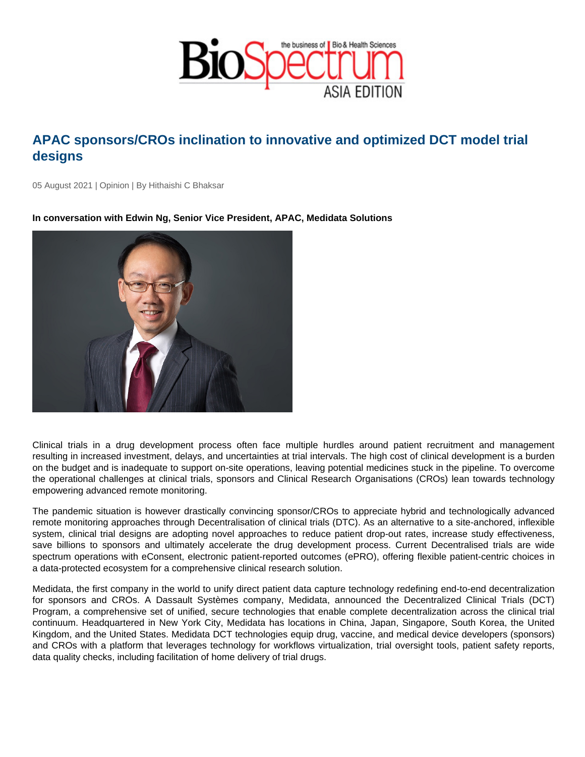## APAC sponsors/CROs inclination to innovative and optimized DCT model trial designs

05 August 2021 | Opinion | By Hithaishi C Bhaksar

In conversation with Edwin Ng, Senior Vice President, APAC, Medidata Solutions

Clinical trials in a drug development process often face multiple hurdles around patient recruitment and management resulting in increased investment, delays, and uncertainties at trial intervals. The high cost of clinical development is a burden on the budget and is inadequate to support on-site operations, leaving potential medicines stuck in the pipeline. To overcome the operational challenges at clinical trials, sponsors and Clinical Research Organisations (CROs) lean towards technology empowering advanced remote monitoring.

The pandemic situation is however drastically convincing sponsor/CROs to appreciate hybrid and technologically advanced remote monitoring approaches through Decentralisation of clinical trials (DTC). As an alternative to a site-anchored, inflexible system, clinical trial designs are adopting novel approaches to reduce patient drop-out rates, increase study effectiveness, save billions to sponsors and ultimately accelerate the drug development process. Current Decentralised trials are wide spectrum operations with eConsent, electronic patient-reported outcomes (ePRO), offering flexible patient-centric choices in a data-protected ecosystem for a comprehensive clinical research solution.

Medidata, the first company in the world to unify direct patient data capture technology redefining end-to-end decentralization for sponsors and CROs. A Dassault Systèmes company, Medidata, announced the Decentralized Clinical Trials (DCT) Program, a comprehensive set of unified, secure technologies that enable complete decentralization across the clinical trial continuum. Headquartered in New York City, Medidata has locations in China, Japan, Singapore, South Korea, the United Kingdom, and the United States. Medidata DCT technologies equip drug, vaccine, and medical device developers (sponsors) and CROs with a platform that leverages technology for workflows virtualization, trial oversight tools, patient safety reports, data quality checks, including facilitation of home delivery of trial drugs.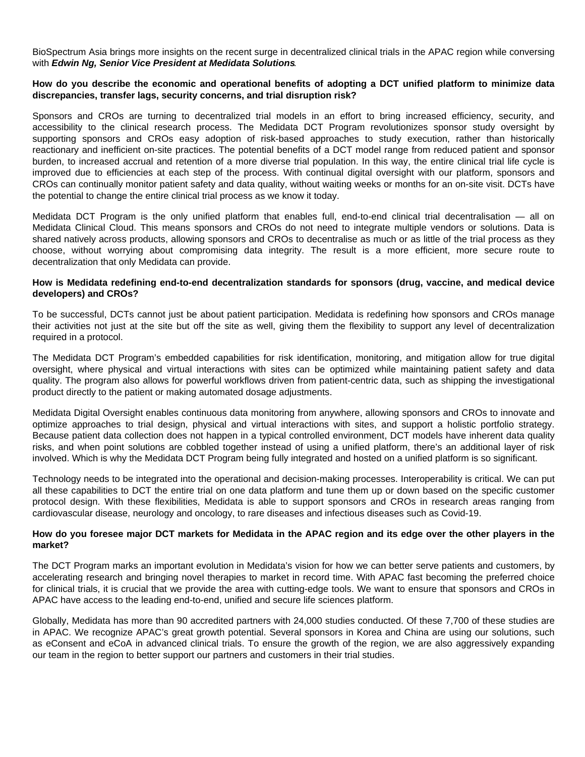BioSpectrum Asia brings more insights on the recent surge in decentralized clinical trials in the APAC region while conversing with **Edwin Ng, Senior Vice President at Medidata Solutions**.

## **How do you describe the economic and operational benefits of adopting a DCT unified platform to minimize data discrepancies, transfer lags, security concerns, and trial disruption risk?**

Sponsors and CROs are turning to decentralized trial models in an effort to bring increased efficiency, security, and accessibility to the clinical research process. The Medidata DCT Program revolutionizes sponsor study oversight by supporting sponsors and CROs easy adoption of risk-based approaches to study execution, rather than historically reactionary and inefficient on-site practices. The potential benefits of a DCT model range from reduced patient and sponsor burden, to increased accrual and retention of a more diverse trial population. In this way, the entire clinical trial life cycle is improved due to efficiencies at each step of the process. With continual digital oversight with our platform, sponsors and CROs can continually monitor patient safety and data quality, without waiting weeks or months for an on-site visit. DCTs have the potential to change the entire clinical trial process as we know it today.

Medidata DCT Program is the only unified platform that enables full, end-to-end clinical trial decentralisation — all on Medidata Clinical Cloud. This means sponsors and CROs do not need to integrate multiple vendors or solutions. Data is shared natively across products, allowing sponsors and CROs to decentralise as much or as little of the trial process as they choose, without worrying about compromising data integrity. The result is a more efficient, more secure route to decentralization that only Medidata can provide.

## **How is Medidata redefining end-to-end decentralization standards for sponsors (drug, vaccine, and medical device developers) and CROs?**

To be successful, DCTs cannot just be about patient participation. Medidata is redefining how sponsors and CROs manage their activities not just at the site but off the site as well, giving them the flexibility to support any level of decentralization required in a protocol.

The Medidata DCT Program's embedded capabilities for risk identification, monitoring, and mitigation allow for true digital oversight, where physical and virtual interactions with sites can be optimized while maintaining patient safety and data quality. The program also allows for powerful workflows driven from patient-centric data, such as shipping the investigational product directly to the patient or making automated dosage adjustments.

Medidata Digital Oversight enables continuous data monitoring from anywhere, allowing sponsors and CROs to innovate and optimize approaches to trial design, physical and virtual interactions with sites, and support a holistic portfolio strategy. Because patient data collection does not happen in a typical controlled environment, DCT models have inherent data quality risks, and when point solutions are cobbled together instead of using a unified platform, there's an additional layer of risk involved. Which is why the Medidata DCT Program being fully integrated and hosted on a unified platform is so significant.

Technology needs to be integrated into the operational and decision-making processes. Interoperability is critical. We can put all these capabilities to DCT the entire trial on one data platform and tune them up or down based on the specific customer protocol design. With these flexibilities, Medidata is able to support sponsors and CROs in research areas ranging from cardiovascular disease, neurology and oncology, to rare diseases and infectious diseases such as Covid-19.

## **How do you foresee major DCT markets for Medidata in the APAC region and its edge over the other players in the market?**

The DCT Program marks an important evolution in Medidata's vision for how we can better serve patients and customers, by accelerating research and bringing novel therapies to market in record time. With APAC fast becoming the preferred choice for clinical trials, it is crucial that we provide the area with cutting-edge tools. We want to ensure that sponsors and CROs in APAC have access to the leading end-to-end, unified and secure life sciences platform.

Globally, Medidata has more than 90 accredited partners with 24,000 studies conducted. Of these 7,700 of these studies are in APAC. We recognize APAC's great growth potential. Several sponsors in Korea and China are using our solutions, such as eConsent and eCoA in advanced clinical trials. To ensure the growth of the region, we are also aggressively expanding our team in the region to better support our partners and customers in their trial studies.